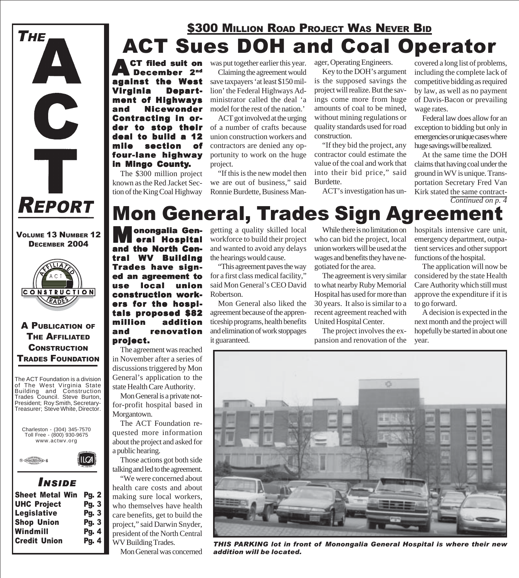

VOLUME 13 NUMBER 12 DECEMBER 2004



### A PUBLICATION OF THE AFFILIATED **CONSTRUCTION** TRADES FOUNDATION

The ACT Foundation is a division of The West Virginia State Building and Construction Trades Council. Steve Burton, President; Roy Smith, Secretary-Treasurer; Steve White, Director.



### *I NSIDE*

| <b>Sheet Metal Win</b> | <b>Pg. 2</b> |
|------------------------|--------------|
| <b>UHC Project</b>     | Pg. 3        |
| <b>Legislative</b>     | <b>Pg. 3</b> |
| <b>Shop Union</b>      | Pg. 3        |
| Windmill               | Pg. 4        |
| <b>Credit Union</b>    | Pg. 4        |
|                        |              |

### ACT Sues DOH and Coal Operator **\$300 MILLION ROAD PROJECT WAS NEVER BID**

filed suit on cember 2<sup>nd</sup> ast Virginia Department of Highways and Nicewonder Contracting in orto stop their deal to build a 12 mile section of mile section four-lane highway in Mingo County.

The \$300 million project known as the Red Jacket Section of the King Coal Highway was put together earlier this year. Claiming the agreement would save taxpayers 'at least \$150 million' the Federal Highways Administrator called the deal 'a model for the rest of the nation.'

ACT got involved at the urging of a number of crafts because union construction workers and contractors are denied any opportunity to work on the huge project.

"If this is the new model then we are out of business," said Ronnie Burdette, Business Manager, Operating Engineers.

Key to the DOH's argument is the supposed savings the project will realize. But the savings come more from huge amounts of coal to be mined, without mining regulations or quality standards used for road construction.

"If they bid the project, any contractor could estimate the value of the coal and work that into their bid price," said Burdette.

ACT's investigation has un-

covered a long list of problems, including the complete lack of competitive bidding as required by law, as well as no payment of Davis-Bacon or prevailing wage rates.

Federal law does allow for an exception to bidding but only in emergencies or unique cases where huge savings will be realized.

At the same time the DOH claims that having coal under the ground in WV is unique. Transportation Secretary Fred Van Kirk stated the same contract-*Continued on p. 4*

### Mon General, Trades Sign Agreement

**Monongalia Gen-**<br> **M** eral Hospital<br>
and the North Cen-**Hospital** the North Cen-**WV Building** Trades have signed an agreement to use local union construction workers for the hospitals proposed \$82 million addition and renovation project.

The agreement was reached in November after a series of discussions triggered by Mon General's application to the state Health Care Authority.

Mon General is a private notfor-profit hospital based in Morgantown.

The ACT Foundation requested more information about the project and asked for a public hearing.

Those actions got both side talking and led to the agreement.

"We were concerned about health care costs and about making sure local workers, who themselves have health care benefits, get to build the project," said Darwin Snyder, president of the North Central WV Building Trades.

Mon General was concerned

getting a quality skilled local workforce to build their project and wanted to avoid any delays the hearings would cause.

"This agreement paves the way for a first class medical facility," said Mon General's CEO David Robertson.

Mon General also liked the agreement because of the apprenticeship programs, health benefits and elimination of work stoppages it guaranteed.

While there is no limitation on who can bid the project, local union workers will be used at the wages and benefits they have negotiated for the area.

The agreement is very similar to what nearby Ruby Memorial Hospital has used for more than 30 years. It also is similar to a recent agreement reached with United Hospital Center.

The project involves the expansion and renovation of the hospitals intensive care unit, emergency department, outpatient services and other support functions of the hospital.

The application will now be considered by the state Health Care Authority which still must approve the expenditure if it is to go forward.

A decision is expected in the next month and the project will hopefully be started in about one year.



*THIS PARKING lot in front of Monongalia General Hospital is where their new addition will be located.*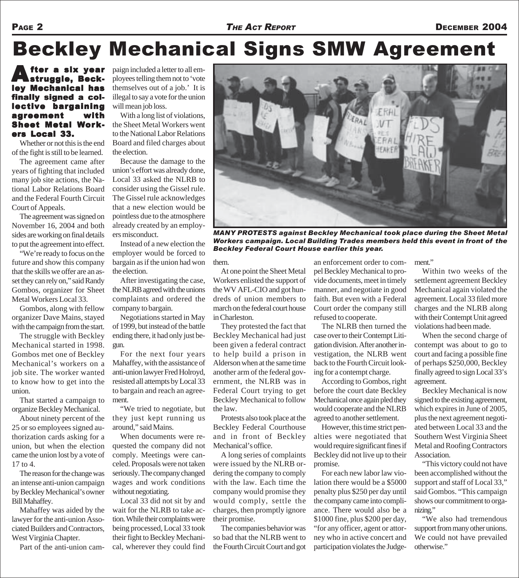#### PAGE 2 **THE ACT REPORT DECEMBER 2004**

# Beckley Mechanical Signs SMW Agreement

A fter a six year<br>Astruggle, Beckley Mechanical has finally signed a collective bargaining agreement with Sheet Metal Metal Workers Local 33.

Whether or not this is the end of the fight is still to be learned.

The agreement came after years of fighting that included many job site actions, the National Labor Relations Board and the Federal Fourth Circuit Court of Appeals.

The agreement was signed on November 16, 2004 and both sides are working on final details to put the agreement into effect.

"We're ready to focus on the future and show this company that the skills we offer are an asset they can rely on," said Randy Gombos, organizer for Sheet Metal Workers Local 33.

Gombos, along with fellow organizer Dave Mains, stayed with the campaign from the start.

The struggle with Beckley Mechanical started in 1998. Gombos met one of Beckley Mechanical's workers on a job site. The worker wanted to know how to get into the union.

That started a campaign to organize Beckley Mechanical.

About ninety percent of the 25 or so employees signed authorization cards asking for a union, but when the election came the union lost by a vote of 17 to 4.

The reason for the change was an intense anti-union campaign by Beckley Mechanical's owner Bill Mahaffey.

Mahaffey was aided by the lawyer for the anti-union Associated Builders and Contractors, West Virginia Chapter.

Part of the anti-union cam-

paign included a letter to all employees telling them not to 'vote themselves out of a job.' It is illegal to say a vote for the union will mean job loss.

With a long list of violations, the Sheet Metal Workers went to the National Labor Relations Board and filed charges about the election.

Because the damage to the union's effort was already done, Local 33 asked the NLRB to consider using the Gissel rule. The Gissel rule acknowledges that a new election would be pointless due to the atmosphere already created by an employers misconduct.

Instead of a new election the employer would be forced to bargain as if the union had won the election.

After investigating the case, the NLRB agreed with the unions complaints and ordered the company to bargain.

Negotiations started in May of 1999, but instead of the battle ending there, it had only just begun.

For the next four years Mahaffey, with the assistance of anti-union lawyer Fred Holroyd, resisted all attempts by Local 33 to bargain and reach an agreement.

"We tried to negotiate, but they just kept running us around," said Mains.

When documents were requested the company did not comply. Meetings were canceled. Proposals were not taken seriously. The company changed wages and work conditions without negotiating.

Local 33 did not sit by and wait for the NLRB to take action. While their complaints were being processed, Local 33 took their fight to Beckley Mechanical, wherever they could find



*MANY PROTESTS against Beckley Mechanical took place during the Sheet Metal Workers campaign. Local Building Trades members held this event in front of the Beckley Federal Court House earlier this year.*

them.

At one point the Sheet Metal Workers enlisted the support of the WV AFL-CIO and got hundreds of union members to march on the federal court house in Charleston.

They protested the fact that Beckley Mechanical had just been given a federal contract to help build a prison in Alderson when at the same time another arm of the federal government, the NLRB was in Federal Court trying to get Beckley Mechanical to follow the law.

Protests also took place at the Beckley Federal Courthouse and in front of Beckley Mechanical's office.

A long series of complaints were issued by the NLRB ordering the company to comply with the law. Each time the company would promise they would comply, settle the charges, then promptly ignore their promise.

The companies behavior was so bad that the NLRB went to the Fourth Circuit Court and got

an enforcement order to compel Beckley Mechanical to provide documents, meet in timely manner, and negotiate in good faith. But even with a Federal Court order the company still refused to cooperate.

The NLRB then turned the case over to their Contempt Litigation division. After another investigation, the NLRB went back to the Fourth Circuit looking for a contempt charge.

According to Gombos, right before the court date Beckley Mechanical once again pled they would cooperate and the NLRB agreed to another settlement.

However, this time strict penalties were negotiated that would require significant fines if Beckley did not live up to their promise.

For each new labor law violation there would be a \$5000 penalty plus \$250 per day until the company came into compliance. There would also be a \$1000 fine, plus \$200 per day, "for any officer, agent or attorney who in active concert and participation violates the Judge-

ment."

Within two weeks of the settlement agreement Beckley Mechanical again violated the agreement. Local 33 filed more charges and the NLRB along with their Contempt Unit agreed violations had been made.

When the second charge of contempt was about to go to court and facing a possible fine of perhaps \$250,000, Beckley finally agreed to sign Local 33's agreement.

Beckley Mechanical is now signed to the existing agreement, which expires in June of 2005, plus the next agreement negotiated between Local 33 and the Southern West Virginia Sheet Metal and Roofing Contractors Association.

"This victory could not have been accomplished without the support and staff of Local 33," said Gombos. "This campaign shows our commitment to organizing."

"We also had tremendous support from many other unions. We could not have prevailed otherwise."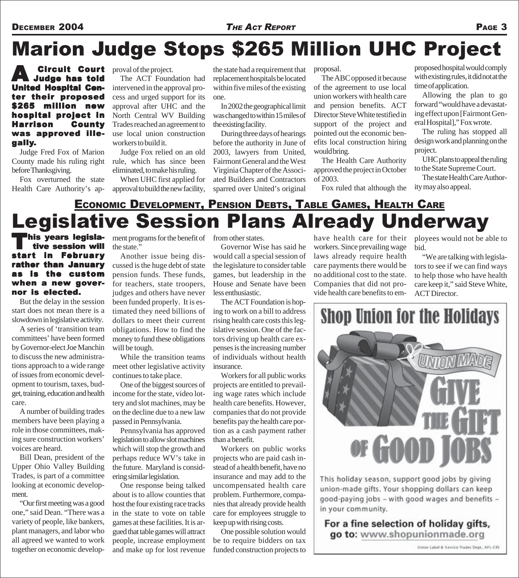## Marion Judge Stops \$265 Million UHC Project

A Circuit Cour <sup>t</sup> Judge has told **United Hospital Cen**ter their proposed \$265 million new hospital project in Harrison County was approved illegally.

Judge Fred Fox of Marion County made his ruling right before Thanksgiving.

Fox overturned the state Health Care Authority's approval of the project.

The ACT Foundation had intervened in the approval process and urged support for its approval after UHC and the North Central WV Building Trades reached an agreement to use local union construction workers to build it.

Judge Fox relied on an old rule, which has since been eliminated, to make his ruling.

When UHC first applied for approval to build the new facility,

the state had a requirement that replacement hospitals be located within five miles of the existing one.

In 2002 the geographical limit was changed to within 15 miles of the existing facility.

During three days of hearings before the authority in June of 2003, lawyers from United, Fairmont General and the West Virginia Chapter of the Associated Builders and Contractors sparred over United's original

proposal.

The ABC opposed it because of the agreement to use local union workers with health care and pension benefits. ACT Director Steve White testified in support of the project and pointed out the economic benefits local construction hiring would bring.

The Health Care Authority approved the project in October of 2003.

Fox ruled that although the

proposed hospital would comply with existing rules, it did not at the time of application.

Allowing the plan to go forward "would have a devastating effect upon [Fairmont General Hospital]," Fox wrote.

The ruling has stopped all design work and planning on the project.

UHC plans to appeal the ruling to the State Supreme Court.

The state Health Care Authority may also appeal.

### Legislative Session Plans Already Underway ECONOMIC DEVELOPMENT, PENSION DEBTS, TABLE GAMES, HEALTH CARE

his years legisla-<br>tive session will<br>rt in February tive session will start in rather than January is the custom when a new governor is elected.

But the delay in the session start does not mean there is a slowdown in legislative activity.

A series of 'transition team committees' have been formed by Governor-elect Joe Manchin to discuss the new administrations approach to a wide range of issues from economic development to tourism, taxes, budget, training, education and health care.

A number of building trades members have been playing a role in those committees, making sure construction workers' voices are heard.

Bill Dean, president of the Upper Ohio Valley Building Trades, is part of a committee looking at economic development.

"Our first meeting was a good one," said Dean. "There was a variety of people, like bankers, plant managers, and labor who all agreed we wanted to work together on economic develop-

ment programs for the benefit of from other states. the state."

Another issue being discussed is the huge debt of state pension funds. These funds, for teachers, state troopers, judges and others have never been funded properly. It is estimated they need billions of dollars to meet their current obligations. How to find the money to fund these obligations will be tough.

While the transition teams meet other legislative activity continues to take place.

One of the biggest sources of income for the state, video lottery and slot machines, may be on the decline due to a new law passed in Pennsylvania.

Pennsylvania has approved legislation to allow slot machines which will stop the growth and perhaps reduce WV's take in the future. Maryland is considering similar legislation.

One response being talked about is to allow counties that host the four existing race tracks in the state to vote on table games at these facilities. It is argued that table games will attract people, increase employment and make up for lost revenue

Governor Wise has said he would call a special session of the legislature to consider table games, but leadership in the House and Senate have been less enthusiastic.

The ACT Foundation is hoping to work on a bill to address rising health care costs this legislative session. One of the factors driving up health care expenses is the increasing number of individuals without health insurance.

Workers for all public works projects are entitled to prevailing wage rates which include health care benefits. However, companies that do not provide benefits pay the health care portion as a cash payment rather than a benefit.

Workers on public works projects who are paid cash instead of a health benefit, have no insurance and may add to the uncompensated health care problem. Furthermore, companies that already provide health care for employees struggle to keep up with rising costs.

One possible solution would be to require bidders on tax funded construction projects to

have health care for their workers. Since prevailing wage laws already require health care payments there would be no additional cost to the state. Companies that did not provide health care benefits to em-

ployees would not be able to bid.

"We are talking with legislators to see if we can find ways to help those who have health care keep it," said Steve White, ACT Director.



This holiday season, support good jobs by giving union-made gifts. Your shopping dollars can keep good-paying jobs - with good wages and benefits in your community.

### For a fine selection of holiday gifts, go to: www.shopunionmade.org